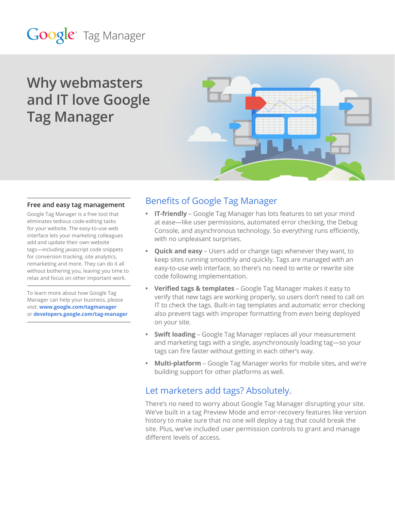# Google<sup>®</sup> Tag Manager

## **Why webmasters and IT love Google Tag Manager**



#### **Free and easy tag management**

Google Tag Manager is a free tool that eliminates tedious code-editing tasks for your website. The easy-to-use web interface lets your marketing colleagues add and update their own website tags—including javascript code snippets for conversion tracking, site analytics, remarketing and more. They can do it all without bothering you, leaving you time to relax and focus on other important work.

To learn more about how Google Tag Manager can help your business, please visit: **[www.google.com/tagmanager](http://www.google.com/tagmanager)** or **[developers.google.com/tag-manager](http://developers.google.com/tag-manager)**

### Benefits of Google Tag Manager

- **• IT-friendly** Google Tag Manager has lots features to set your mind at ease—like user permissions, automated error checking, the Debug Console, and asynchronous technology. So everything runs efficiently, with no unpleasant surprises.
- **Quick and easy** Users add or change tags whenever they want, to keep sites running smoothly and quickly. Tags are managed with an easy-to-use web interface, so there's no need to write or rewrite site code following implementation.
- **• Verified tags & templates** Google Tag Manager makes it easy to verify that new tags are working properly, so users don't need to call on IT to check the tags. Built-in tag templates and automatic error checking also prevent tags with improper formatting from even being deployed on your site.
- **• Swift loading** Google Tag Manager replaces all your measurement and marketing tags with a single, asynchronously loading tag—so your tags can fire faster without getting in each other's way.
- **• Multi-platform** Google Tag Manager works for mobile sites, and we're building support for other platforms as well.

#### Let marketers add tags? Absolutely.

There's no need to worry about Google Tag Manager disrupting your site. We've built in a tag Preview Mode and error-recovery features like version history to make sure that no one will deploy a tag that could break the site. Plus, we've included user permission controls to grant and manage different levels of access.